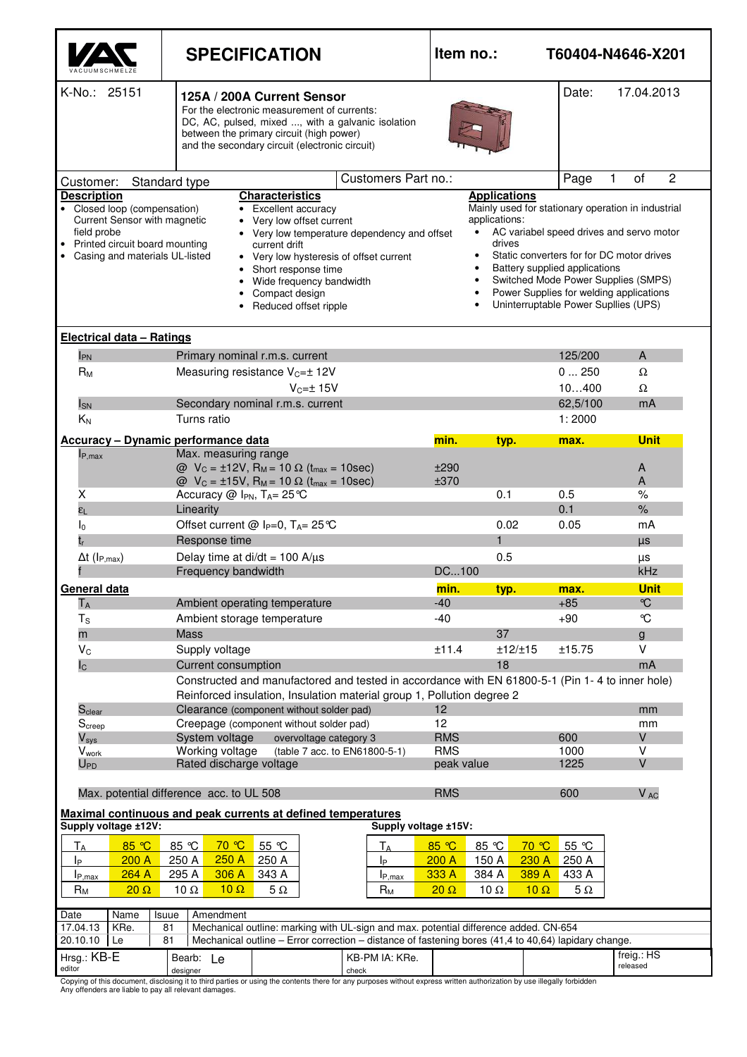|                                                                                                                                                                                                                                                                     | <b>SPECIFICATION</b>                                                                                                                                                                                                                                                     | Item no.:<br>T60404-N4646-X201 |                                                                                                                                                                                                                                                                                                                  |                                  |                             |  |  |  |
|---------------------------------------------------------------------------------------------------------------------------------------------------------------------------------------------------------------------------------------------------------------------|--------------------------------------------------------------------------------------------------------------------------------------------------------------------------------------------------------------------------------------------------------------------------|--------------------------------|------------------------------------------------------------------------------------------------------------------------------------------------------------------------------------------------------------------------------------------------------------------------------------------------------------------|----------------------------------|-----------------------------|--|--|--|
| K-No.: 25151<br>17.04.2013<br>Date:<br>125A / 200A Current Sensor<br>For the electronic measurement of currents:<br>DC, AC, pulsed, mixed , with a galvanic isolation<br>between the primary circuit (high power)<br>and the secondary circuit (electronic circuit) |                                                                                                                                                                                                                                                                          |                                |                                                                                                                                                                                                                                                                                                                  |                                  |                             |  |  |  |
| Standard type<br>Customer:                                                                                                                                                                                                                                          | Page                                                                                                                                                                                                                                                                     | 2<br>$\mathbf{1}$<br>of        |                                                                                                                                                                                                                                                                                                                  |                                  |                             |  |  |  |
| <b>Description</b>                                                                                                                                                                                                                                                  | <b>Characteristics</b>                                                                                                                                                                                                                                                   |                                | <b>Applications</b>                                                                                                                                                                                                                                                                                              |                                  |                             |  |  |  |
| • Closed loop (compensation)<br>Current Sensor with magnetic<br>field probe<br>Printed circuit board mounting<br>Casing and materials UL-listed                                                                                                                     | • Excellent accuracy<br>• Very low offset current<br>• Very low temperature dependency and offset<br>current drift<br>• Very low hysteresis of offset current<br>Short response time<br>$\bullet$<br>Wide frequency bandwidth<br>Compact design<br>Reduced offset ripple | applications:                  | Mainly used for stationary operation in industrial<br>AC variabel speed drives and servo motor<br>drives<br>Static converters for for DC motor drives<br>Battery supplied applications<br>Switched Mode Power Supplies (SMPS)<br>Power Supplies for welding applications<br>Uninterruptable Power Supllies (UPS) |                                  |                             |  |  |  |
| <b>Electrical data - Ratings</b>                                                                                                                                                                                                                                    |                                                                                                                                                                                                                                                                          |                                |                                                                                                                                                                                                                                                                                                                  |                                  |                             |  |  |  |
| I <sub>PN</sub>                                                                                                                                                                                                                                                     | Primary nominal r.m.s. current                                                                                                                                                                                                                                           |                                |                                                                                                                                                                                                                                                                                                                  | 125/200                          | A                           |  |  |  |
| $R_M$                                                                                                                                                                                                                                                               | Measuring resistance V <sub>c=±</sub> 12V                                                                                                                                                                                                                                |                                |                                                                                                                                                                                                                                                                                                                  | 0250                             | Ω                           |  |  |  |
|                                                                                                                                                                                                                                                                     | $V_{C} = \pm 15V$                                                                                                                                                                                                                                                        |                                |                                                                                                                                                                                                                                                                                                                  | 10400                            | Ω                           |  |  |  |
| $I_{SN}$                                                                                                                                                                                                                                                            | Secondary nominal r.m.s. current                                                                                                                                                                                                                                         |                                |                                                                                                                                                                                                                                                                                                                  | 62,5/100                         | mA                          |  |  |  |
| $K_N$                                                                                                                                                                                                                                                               | Turns ratio                                                                                                                                                                                                                                                              |                                |                                                                                                                                                                                                                                                                                                                  | 1:2000                           |                             |  |  |  |
|                                                                                                                                                                                                                                                                     | <b>Accuracy - Dynamic performance data</b>                                                                                                                                                                                                                               |                                | min.<br>typ.                                                                                                                                                                                                                                                                                                     | max.                             | <b>Unit</b>                 |  |  |  |
| $I_{P,max}$                                                                                                                                                                                                                                                         | Max. measuring range<br>$Q$ V <sub>C</sub> = ±12V, R <sub>M</sub> = 10 Ω (t <sub>max</sub> = 10sec)<br>$Q$ V <sub>C</sub> = ±15V, R <sub>M</sub> = 10 Ω (t <sub>max</sub> = 10sec)                                                                                       |                                | ±290<br>±370                                                                                                                                                                                                                                                                                                     |                                  | A<br>A                      |  |  |  |
| х                                                                                                                                                                                                                                                                   | Accuracy $@$ I <sub>PN</sub> , T <sub>A</sub> = 25 °C                                                                                                                                                                                                                    |                                | 0.1                                                                                                                                                                                                                                                                                                              | 0.5                              | $\%$                        |  |  |  |
| $\epsilon_{L}$                                                                                                                                                                                                                                                      | Linearity                                                                                                                                                                                                                                                                |                                |                                                                                                                                                                                                                                                                                                                  | 0.1                              | $\%$                        |  |  |  |
| I <sub>0</sub>                                                                                                                                                                                                                                                      | Offset current @ $I_P=0$ , $T_A=25^{\circ}C$                                                                                                                                                                                                                             |                                | 0.02                                                                                                                                                                                                                                                                                                             | 0.05                             | mA                          |  |  |  |
|                                                                                                                                                                                                                                                                     | Response time                                                                                                                                                                                                                                                            |                                | $\blacksquare$                                                                                                                                                                                                                                                                                                   |                                  | <b>US</b>                   |  |  |  |
| $\Delta t$ (I <sub>P,max</sub> )                                                                                                                                                                                                                                    | Delay time at di/dt = $100$ A/ $\mu$ s<br>Frequency bandwidth                                                                                                                                                                                                            |                                | 0.5<br>DC100                                                                                                                                                                                                                                                                                                     |                                  | μs<br>kHz                   |  |  |  |
|                                                                                                                                                                                                                                                                     |                                                                                                                                                                                                                                                                          |                                |                                                                                                                                                                                                                                                                                                                  |                                  |                             |  |  |  |
| General data<br>$T_A$                                                                                                                                                                                                                                               | Ambient operating temperature                                                                                                                                                                                                                                            |                                | min.<br>typ.<br>$-40$                                                                                                                                                                                                                                                                                            | max.<br>$+85$                    | <b>Unit</b><br>$\mathrm{C}$ |  |  |  |
| $T_S$                                                                                                                                                                                                                                                               | Ambient storage temperature                                                                                                                                                                                                                                              |                                | $-40$                                                                                                                                                                                                                                                                                                            | $+90$                            | ℃                           |  |  |  |
| m                                                                                                                                                                                                                                                                   | <b>Mass</b>                                                                                                                                                                                                                                                              |                                | 37                                                                                                                                                                                                                                                                                                               |                                  | g                           |  |  |  |
| $V_C$                                                                                                                                                                                                                                                               | Supply voltage                                                                                                                                                                                                                                                           |                                | ±11.4                                                                                                                                                                                                                                                                                                            | ±12/±15<br>±15.75                | V                           |  |  |  |
| $I_{\rm C}$                                                                                                                                                                                                                                                         | <b>Current consumption</b>                                                                                                                                                                                                                                               |                                | 18                                                                                                                                                                                                                                                                                                               |                                  | mA                          |  |  |  |
|                                                                                                                                                                                                                                                                     | Constructed and manufactored and tested in accordance with EN 61800-5-1 (Pin 1-4 to inner hole)                                                                                                                                                                          |                                |                                                                                                                                                                                                                                                                                                                  |                                  |                             |  |  |  |
|                                                                                                                                                                                                                                                                     | Reinforced insulation, Insulation material group 1, Pollution degree 2                                                                                                                                                                                                   |                                |                                                                                                                                                                                                                                                                                                                  |                                  |                             |  |  |  |
| S <sub>clear</sub>                                                                                                                                                                                                                                                  | Clearance (component without solder pad)                                                                                                                                                                                                                                 |                                | 12                                                                                                                                                                                                                                                                                                               |                                  | mm                          |  |  |  |
| Screep<br>$V_{sys}$                                                                                                                                                                                                                                                 | Creepage (component without solder pad)<br>System voltage<br>overvoltage category 3                                                                                                                                                                                      |                                | 12<br><b>RMS</b>                                                                                                                                                                                                                                                                                                 | 600                              | mm<br>V                     |  |  |  |
| <b>V</b> work                                                                                                                                                                                                                                                       | Working voltage                                                                                                                                                                                                                                                          | (table 7 acc. to EN61800-5-1)  | <b>RMS</b>                                                                                                                                                                                                                                                                                                       | 1000                             | V                           |  |  |  |
| $U_{\mathsf{PD}}$                                                                                                                                                                                                                                                   | Rated discharge voltage<br>peak value                                                                                                                                                                                                                                    |                                |                                                                                                                                                                                                                                                                                                                  |                                  | V                           |  |  |  |
|                                                                                                                                                                                                                                                                     |                                                                                                                                                                                                                                                                          |                                |                                                                                                                                                                                                                                                                                                                  |                                  |                             |  |  |  |
|                                                                                                                                                                                                                                                                     | Max. potential difference acc. to UL 508                                                                                                                                                                                                                                 |                                | <b>RMS</b>                                                                                                                                                                                                                                                                                                       | 600                              | V <sub>AC</sub>             |  |  |  |
| Supply voltage ±12V:                                                                                                                                                                                                                                                | Maximal continuous and peak currents at defined temperatures                                                                                                                                                                                                             | Supply voltage ±15V:           |                                                                                                                                                                                                                                                                                                                  |                                  |                             |  |  |  |
| 85 °C<br>ТA<br>200 A                                                                                                                                                                                                                                                | 85 °C<br>70 ℃<br>55 °C<br>250 A<br>250 A<br>250 A                                                                                                                                                                                                                        | $T_A$                          | 85 °C<br>85 °C                                                                                                                                                                                                                                                                                                   | 55 °C<br>70 ℃                    |                             |  |  |  |
| Iр<br>264 A<br>$I_{P,\text{max}}$                                                                                                                                                                                                                                   | 295 A<br>306 A<br>343 A                                                                                                                                                                                                                                                  | lP<br>$I_{P,max}$              | 150 A<br>200A<br>333 A<br>384 A                                                                                                                                                                                                                                                                                  | 230 A<br>250 A<br>389 A<br>433 A |                             |  |  |  |
| <b>R</b> <sub>M</sub><br>$20 \Omega$                                                                                                                                                                                                                                | $10 \Omega$<br>$5\Omega$<br>10 $\Omega$                                                                                                                                                                                                                                  | $R_M$                          | $20 \Omega$<br>10 $\Omega$                                                                                                                                                                                                                                                                                       | $10 \Omega$<br>$5\,\Omega$       |                             |  |  |  |
|                                                                                                                                                                                                                                                                     |                                                                                                                                                                                                                                                                          |                                |                                                                                                                                                                                                                                                                                                                  |                                  |                             |  |  |  |
| Date<br>Name<br>Isuue<br>Amendment<br>Mechanical outline: marking with UL-sign and max. potential difference added. CN-654<br>17.04.13<br>KRe.<br>81                                                                                                                |                                                                                                                                                                                                                                                                          |                                |                                                                                                                                                                                                                                                                                                                  |                                  |                             |  |  |  |
| Mechanical outline - Error correction - distance of fastening bores (41,4 to 40,64) lapidary change.<br>20.10.10<br>Le<br>81                                                                                                                                        |                                                                                                                                                                                                                                                                          |                                |                                                                                                                                                                                                                                                                                                                  |                                  |                             |  |  |  |
| Hrsg.: KB-E<br>editor                                                                                                                                                                                                                                               | Bearb: Le<br>designer                                                                                                                                                                                                                                                    | KB-PM IA: KRe.<br>check        |                                                                                                                                                                                                                                                                                                                  |                                  | freig.: HS<br>released      |  |  |  |
| Any offenders are liable to pay all relevant damages.                                                                                                                                                                                                               | Copying of this document, disclosing it to third parties or using the contents there for any purposes without express written authorization by use illegally forbidden                                                                                                   |                                |                                                                                                                                                                                                                                                                                                                  |                                  |                             |  |  |  |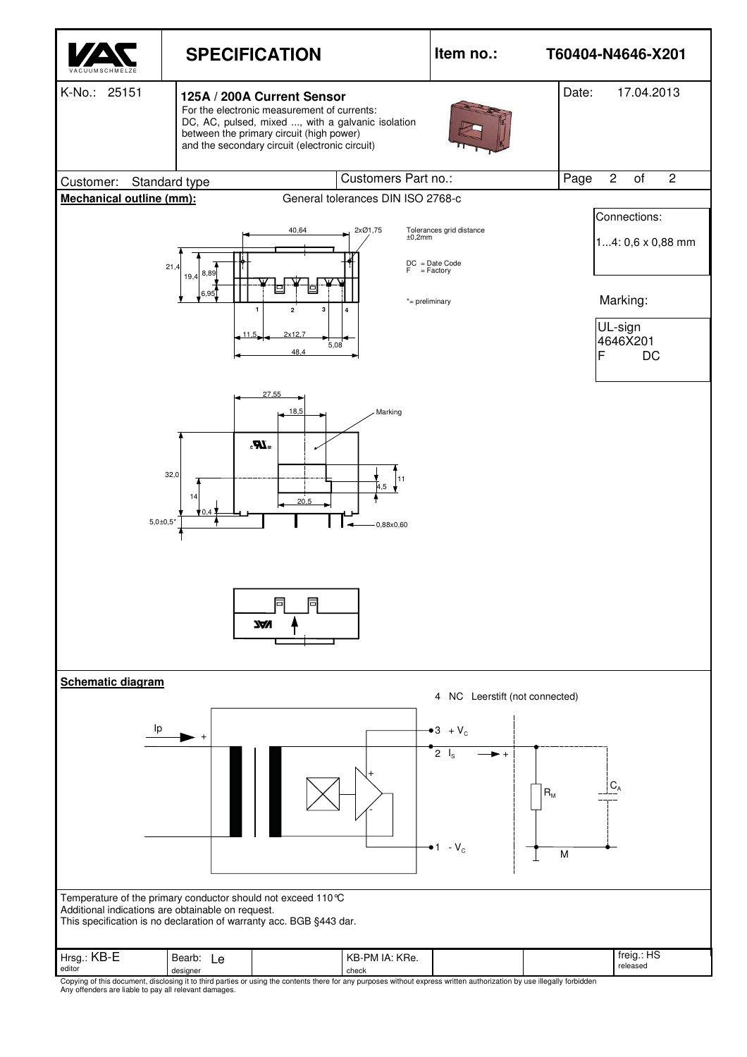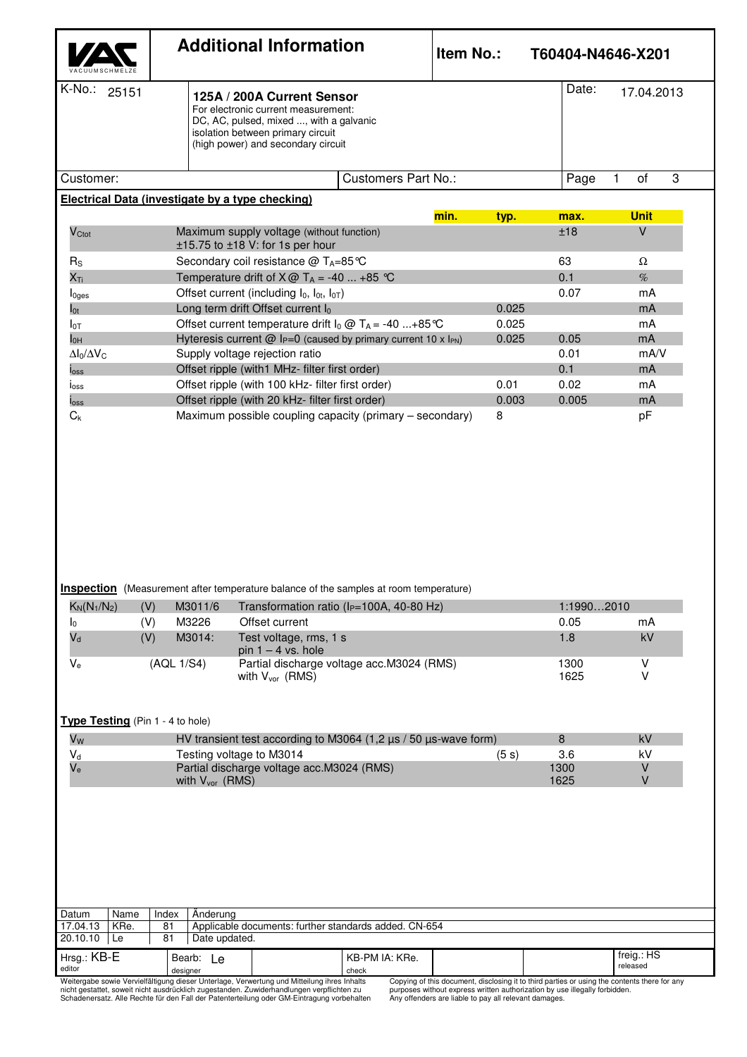|                                                                                     |      |                                                                                                                                                                                         | <b>Additional Information</b> |                                                                                                     | <b>Item No.:</b>                                                                             | T60404-N4646-X201 |               |               |                                                                                              |  |
|-------------------------------------------------------------------------------------|------|-----------------------------------------------------------------------------------------------------------------------------------------------------------------------------------------|-------------------------------|-----------------------------------------------------------------------------------------------------|----------------------------------------------------------------------------------------------|-------------------|---------------|---------------|----------------------------------------------------------------------------------------------|--|
| K-No.: 25151                                                                        |      | 125A / 200A Current Sensor<br>For electronic current measurement:<br>DC, AC, pulsed, mixed , with a galvanic<br>isolation between primary circuit<br>(high power) and secondary circuit |                               |                                                                                                     |                                                                                              |                   |               |               | Date:<br>17.04.2013                                                                          |  |
| Customer:                                                                           |      |                                                                                                                                                                                         |                               |                                                                                                     | <b>Customers Part No.:</b>                                                                   |                   |               | Page          | 3<br>of<br>1                                                                                 |  |
|                                                                                     |      |                                                                                                                                                                                         |                               | Electrical Data (investigate by a type checking)                                                    |                                                                                              |                   |               |               |                                                                                              |  |
| V <sub>Ctot</sub>                                                                   |      |                                                                                                                                                                                         |                               | Maximum supply voltage (without function)<br>±15.75 to ±18 V: for 1s per hour                       |                                                                                              | min.              | typ.          | max.<br>±18   | <b>Unit</b><br>$\vee$                                                                        |  |
| $R_{\rm S}$                                                                         |      |                                                                                                                                                                                         |                               | Secondary coil resistance @ TA=85 ℃                                                                 |                                                                                              |                   |               | 63            | $\Omega$                                                                                     |  |
| $X_{Ti}$                                                                            |      |                                                                                                                                                                                         |                               | Temperature drift of $X@T_A = -40$ +85 °C                                                           |                                                                                              |                   |               | 0.1           | $\%$                                                                                         |  |
| $I0$ ges                                                                            |      |                                                                                                                                                                                         |                               | Offset current (including $I_0$ , $I_{0t}$ , $I_{0T}$ )                                             |                                                                                              |                   |               | 0.07          | mA                                                                                           |  |
| $I_{0t}$                                                                            |      |                                                                                                                                                                                         |                               | Long term drift Offset current lo                                                                   |                                                                                              |                   | 0.025         |               | mA                                                                                           |  |
| $I_{0T}$                                                                            |      |                                                                                                                                                                                         |                               |                                                                                                     | Offset current temperature drift $I_0 \omega T_A = -40$ +85 °C                               |                   | 0.025         |               | mA                                                                                           |  |
| $I_{OH}$                                                                            |      |                                                                                                                                                                                         |                               |                                                                                                     | Hyteresis current $@$ l <sub>P</sub> =0 (caused by primary current 10 x l <sub>PN</sub> )    |                   | 0.025         | 0.05          | mA                                                                                           |  |
| $\Delta I_0/\Delta V_C$                                                             |      |                                                                                                                                                                                         |                               | Supply voltage rejection ratio                                                                      |                                                                                              |                   |               | 0.01          | mA/V                                                                                         |  |
| $I_{\rm OSS}$                                                                       |      |                                                                                                                                                                                         |                               | Offset ripple (with1 MHz- filter first order)                                                       |                                                                                              |                   |               | 0.1           | mA                                                                                           |  |
| $I_{\rm OSS}$                                                                       |      |                                                                                                                                                                                         |                               | Offset ripple (with 100 kHz- filter first order)<br>Offset ripple (with 20 kHz- filter first order) |                                                                                              |                   | 0.01<br>0.003 | 0.02<br>0.005 | mA<br>mA                                                                                     |  |
| $I_{\rm OSS}$<br>$C_{k}$                                                            |      |                                                                                                                                                                                         |                               |                                                                                                     | Maximum possible coupling capacity (primary – secondary)                                     |                   | 8             |               | pF                                                                                           |  |
|                                                                                     |      |                                                                                                                                                                                         |                               |                                                                                                     | <b>Inspection</b> (Measurement after temperature balance of the samples at room temperature) |                   |               |               |                                                                                              |  |
| $K_N(N_1/N_2)$                                                                      | (V)  |                                                                                                                                                                                         | M3011/6                       |                                                                                                     | Transformation ratio (I <sub>P=100A</sub> , 40-80 Hz)                                        |                   |               | 1:19902010    |                                                                                              |  |
| I <sub>0</sub>                                                                      | (V)  |                                                                                                                                                                                         | M3226                         | Offset current                                                                                      |                                                                                              |                   |               | 0.05          | mA                                                                                           |  |
| $V_d$                                                                               | (V)  |                                                                                                                                                                                         | M3014:                        | Test voltage, rms, 1 s<br>pin $1 - 4$ vs. hole                                                      |                                                                                              |                   |               | 1.8           | kV                                                                                           |  |
| $V_{e}$                                                                             |      | (AQL 1/S4)                                                                                                                                                                              |                               |                                                                                                     | Partial discharge voltage acc.M3024 (RMS)                                                    |                   |               | 1300          | $\sf V$                                                                                      |  |
|                                                                                     |      |                                                                                                                                                                                         |                               | with V <sub>vor</sub> (RMS)                                                                         |                                                                                              |                   |               | 1625          | V                                                                                            |  |
| Type Testing (Pin 1 - 4 to hole)                                                    |      |                                                                                                                                                                                         |                               |                                                                                                     |                                                                                              |                   |               |               |                                                                                              |  |
| Vw                                                                                  |      |                                                                                                                                                                                         |                               |                                                                                                     | HV transient test according to M3064 (1,2 µs / 50 µs-wave form)                              |                   |               | 8             | kV                                                                                           |  |
| $V_d$                                                                               |      |                                                                                                                                                                                         | Testing voltage to M3014      |                                                                                                     |                                                                                              |                   | (5 s)         | 3.6           | kV                                                                                           |  |
| Partial discharge voltage acc.M3024 (RMS)<br>$V_{e}$<br>with V <sub>vor</sub> (RMS) |      |                                                                                                                                                                                         |                               |                                                                                                     |                                                                                              | 1300<br>1625      | V<br>$\vee$   |               |                                                                                              |  |
|                                                                                     |      |                                                                                                                                                                                         |                               |                                                                                                     |                                                                                              |                   |               |               |                                                                                              |  |
| Datum                                                                               | Name | Index                                                                                                                                                                                   | Änderung                      |                                                                                                     |                                                                                              |                   |               |               |                                                                                              |  |
| 17.04.13<br>KRe.<br>20.10.10<br>  Le                                                |      | 81<br>81                                                                                                                                                                                | Date updated.                 |                                                                                                     | Applicable documents: further standards added. CN-654                                        |                   |               |               |                                                                                              |  |
| Hrsg.: KB-E<br>editor                                                               |      | designer                                                                                                                                                                                | Bearb: Le                     |                                                                                                     | KB-PM IA: KRe.<br>check                                                                      |                   |               |               | freig.: HS<br>released                                                                       |  |
|                                                                                     |      |                                                                                                                                                                                         |                               | Weitergabe sowie Vervielfältigung dieser Unterlage, Verwertung und Mitteilung ihres Inhalts         |                                                                                              |                   |               |               | Copying of this document, disclosing it to third parties or using the contents there for any |  |

nicht gestattet, soweit nicht ausdrücklich zugestanden. Zuwiderhandlungen verpflichten zu Schadenersatz. Alle Rechte für den Fall der Patenterteilung oder GM-Eintragung vorbehalten

Copying of this document, disclosing it to third parties or using the contents there for any<br>purposes without express written authorization by use illegally forbidden.<br>Any offenders are liable to pay all relevant damages.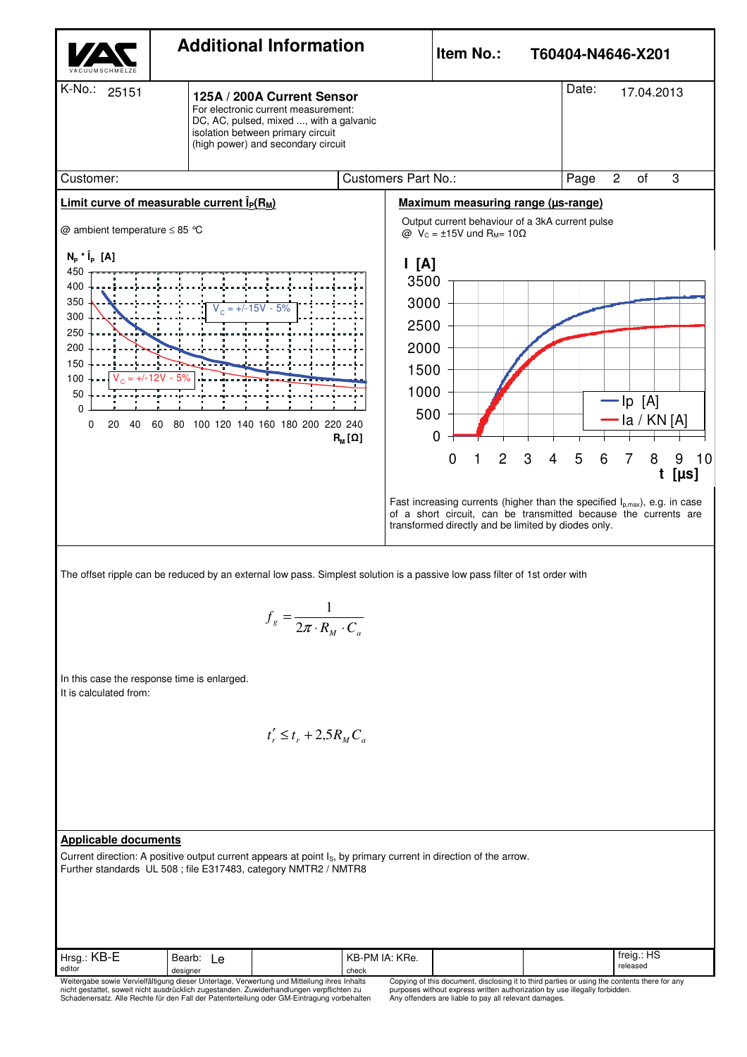

Weitergabe sowie Vervielfältigung dieser Unterlage, Verwertung und Mitteilung ihres Inhalts nicht gestattet, soweit nicht ausdrücklich zugestanden. Zuwiderhandlungen verpflichten zu Schadenersatz. Alle Rechte für den Fall der Patenterteilung oder GM-Eintragung vorbehalten Copying of this document, disclosing it to third parties or using the contents there for any purposes without express written authorization by use illegally forbidden. Any offenders are liable to pay all relevant damages.